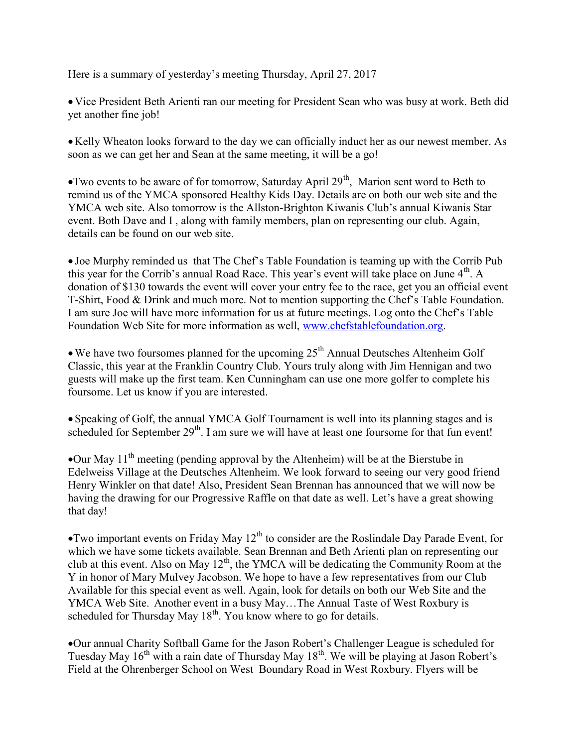Here is a summary of yesterday's meeting Thursday, April 27, 2017

 Vice President Beth Arienti ran our meeting for President Sean who was busy at work. Beth did yet another fine job!

• Kelly Wheaton looks forward to the day we can officially induct her as our newest member. As soon as we can get her and Sean at the same meeting, it will be a go!

 $\bullet$  Two events to be aware of for tomorrow, Saturday April 29<sup>th</sup>, Marion sent word to Beth to remind us of the YMCA sponsored Healthy Kids Day. Details are on both our web site and the YMCA web site. Also tomorrow is the Allston-Brighton Kiwanis Club's annual Kiwanis Star event. Both Dave and I , along with family members, plan on representing our club. Again, details can be found on our web site.

 Joe Murphy reminded us that The Chef's Table Foundation is teaming up with the Corrib Pub this year for the Corrib's annual Road Race. This year's event will take place on June  $4<sup>th</sup>$ . A donation of \$130 towards the event will cover your entry fee to the race, get you an official event T-Shirt, Food & Drink and much more. Not to mention supporting the Chef's Table Foundation. I am sure Joe will have more information for us at future meetings. Log onto the Chef's Table Foundation Web Site for more information as well, www.chefstablefoundation.org.

 $\bullet$  We have two foursomes planned for the upcoming  $25<sup>th</sup>$  Annual Deutsches Altenheim Golf Classic, this year at the Franklin Country Club. Yours truly along with Jim Hennigan and two guests will make up the first team. Ken Cunningham can use one more golfer to complete his foursome. Let us know if you are interested.

 Speaking of Golf, the annual YMCA Golf Tournament is well into its planning stages and is scheduled for September  $29<sup>th</sup>$ . I am sure we will have at least one foursome for that fun event!

Our May  $11<sup>th</sup>$  meeting (pending approval by the Altenheim) will be at the Bierstube in Edelweiss Village at the Deutsches Altenheim. We look forward to seeing our very good friend Henry Winkler on that date! Also, President Sean Brennan has announced that we will now be having the drawing for our Progressive Raffle on that date as well. Let's have a great showing that day!

• Two important events on Friday May  $12^{th}$  to consider are the Roslindale Day Parade Event, for which we have some tickets available. Sean Brennan and Beth Arienti plan on representing our club at this event. Also on May  $12<sup>th</sup>$ , the YMCA will be dedicating the Community Room at the Y in honor of Mary Mulvey Jacobson. We hope to have a few representatives from our Club Available for this special event as well. Again, look for details on both our Web Site and the YMCA Web Site. Another event in a busy May…The Annual Taste of West Roxbury is scheduled for Thursday May  $18<sup>th</sup>$ . You know where to go for details.

Our annual Charity Softball Game for the Jason Robert's Challenger League is scheduled for Tuesday May  $16<sup>th</sup>$  with a rain date of Thursday May  $18<sup>th</sup>$ . We will be playing at Jason Robert's Field at the Ohrenberger School on West Boundary Road in West Roxbury. Flyers will be